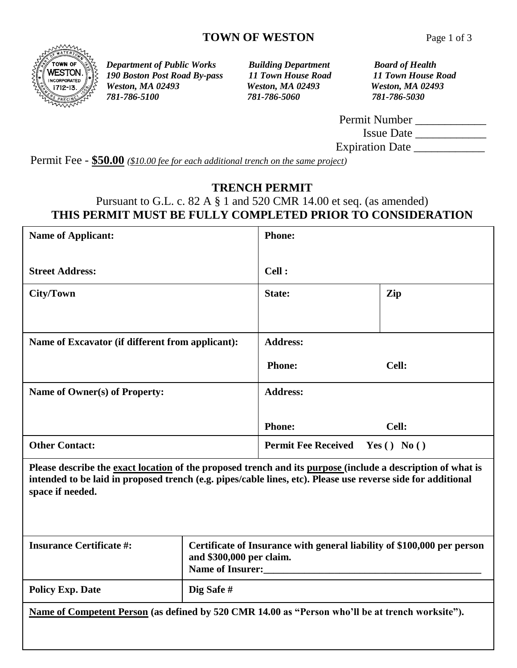

*Department of Public Works Building Department Board of Health 190 Boston Post Road By-pass 11 Town House Road 11 Town House Road Weston, MA 02493 Weston, MA 02493 Weston, MA 02493 781-786-5100 781-786-5060 781-786-5030*

| Permit Number          |  |
|------------------------|--|
| <b>Issue Date</b>      |  |
| <b>Expiration Date</b> |  |

Permit Fee - **\$50.00** *(\$10.00 fee for each additional trench on the same project)*

#### **TRENCH PERMIT**

# Pursuant to G.L. c. 82 A § 1 and 520 CMR 14.00 et seq. (as amended) **THIS PERMIT MUST BE FULLY COMPLETED PRIOR TO CONSIDERATION**

| <b>Name of Applicant:</b>                                                                                                                                                                                                                       |                                                                                                                         | <b>Phone:</b>              |              |
|-------------------------------------------------------------------------------------------------------------------------------------------------------------------------------------------------------------------------------------------------|-------------------------------------------------------------------------------------------------------------------------|----------------------------|--------------|
| <b>Street Address:</b>                                                                                                                                                                                                                          |                                                                                                                         | Cell :                     |              |
| <b>City/Town</b>                                                                                                                                                                                                                                |                                                                                                                         | State:                     | Zip          |
|                                                                                                                                                                                                                                                 |                                                                                                                         |                            |              |
| Name of Excavator (if different from applicant):                                                                                                                                                                                                |                                                                                                                         | <b>Address:</b>            |              |
|                                                                                                                                                                                                                                                 |                                                                                                                         | <b>Phone:</b>              | Cell:        |
| Name of Owner(s) of Property:                                                                                                                                                                                                                   |                                                                                                                         | <b>Address:</b>            |              |
|                                                                                                                                                                                                                                                 |                                                                                                                         | <b>Phone:</b>              | Cell:        |
| <b>Other Contact:</b>                                                                                                                                                                                                                           |                                                                                                                         | <b>Permit Fee Received</b> | Yes () No () |
| Please describe the exact location of the proposed trench and its purpose (include a description of what is<br>intended to be laid in proposed trench (e.g. pipes/cable lines, etc). Please use reverse side for additional<br>space if needed. |                                                                                                                         |                            |              |
| <b>Insurance Certificate #:</b>                                                                                                                                                                                                                 | Certificate of Insurance with general liability of \$100,000 per person<br>and \$300,000 per claim.<br>Name of Insurer: |                            |              |
| <b>Policy Exp. Date</b>                                                                                                                                                                                                                         | Dig Safe#                                                                                                               |                            |              |
| Name of Competent Person (as defined by 520 CMR 14.00 as "Person who'll be at trench worksite").                                                                                                                                                |                                                                                                                         |                            |              |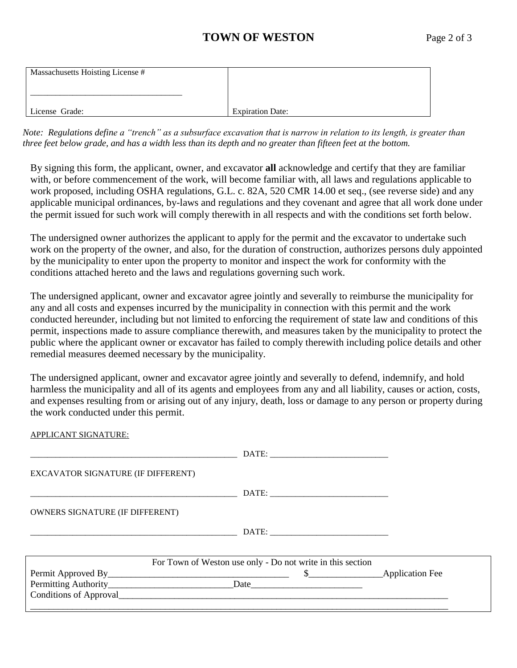### **TOWN OF WESTON** Page 2 of 3

| Massachusetts Hoisting License # |                         |
|----------------------------------|-------------------------|
| License Grade:                   | <b>Expiration Date:</b> |

*Note: Regulations define a "trench" as a subsurface excavation that is narrow in relation to its length, is greater than three feet below grade, and has a width less than its depth and no greater than fifteen feet at the bottom.*

By signing this form, the applicant, owner, and excavator **all** acknowledge and certify that they are familiar with, or before commencement of the work, will become familiar with, all laws and regulations applicable to work proposed, including OSHA regulations, G.L. c. 82A, 520 CMR 14.00 et seq., (see reverse side) and any applicable municipal ordinances, by-laws and regulations and they covenant and agree that all work done under the permit issued for such work will comply therewith in all respects and with the conditions set forth below.

The undersigned owner authorizes the applicant to apply for the permit and the excavator to undertake such work on the property of the owner, and also, for the duration of construction, authorizes persons duly appointed by the municipality to enter upon the property to monitor and inspect the work for conformity with the conditions attached hereto and the laws and regulations governing such work.

The undersigned applicant, owner and excavator agree jointly and severally to reimburse the municipality for any and all costs and expenses incurred by the municipality in connection with this permit and the work conducted hereunder, including but not limited to enforcing the requirement of state law and conditions of this permit, inspections made to assure compliance therewith, and measures taken by the municipality to protect the public where the applicant owner or excavator has failed to comply therewith including police details and other remedial measures deemed necessary by the municipality.

The undersigned applicant, owner and excavator agree jointly and severally to defend, indemnify, and hold harmless the municipality and all of its agents and employees from any and all liability, causes or action, costs, and expenses resulting from or arising out of any injury, death, loss or damage to any person or property during the work conducted under this permit.

APPLICANT SIGNATURE: